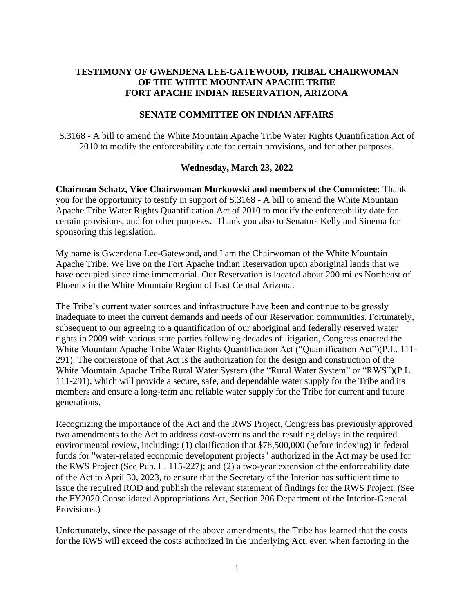# **TESTIMONY OF GWENDENA LEE-GATEWOOD, TRIBAL CHAIRWOMAN OF THE WHITE MOUNTAIN APACHE TRIBE FORT APACHE INDIAN RESERVATION, ARIZONA**

## **SENATE COMMITTEE ON INDIAN AFFAIRS**

S.3168 - A bill to amend the White Mountain Apache Tribe Water Rights Quantification Act of 2010 to modify the enforceability date for certain provisions, and for other purposes.

### **Wednesday, March 23, 2022**

**Chairman Schatz, Vice Chairwoman Murkowski and members of the Committee:** Thank you for the opportunity to testify in support of S.3168 - A bill to amend the White Mountain Apache Tribe Water Rights Quantification Act of 2010 to modify the enforceability date for certain provisions, and for other purposes. Thank you also to Senators Kelly and Sinema for sponsoring this legislation.

My name is Gwendena Lee-Gatewood, and I am the Chairwoman of the White Mountain Apache Tribe. We live on the Fort Apache Indian Reservation upon aboriginal lands that we have occupied since time immemorial. Our Reservation is located about 200 miles Northeast of Phoenix in the White Mountain Region of East Central Arizona.

The Tribe's current water sources and infrastructure have been and continue to be grossly inadequate to meet the current demands and needs of our Reservation communities. Fortunately, subsequent to our agreeing to a quantification of our aboriginal and federally reserved water rights in 2009 with various state parties following decades of litigation, Congress enacted the White Mountain Apache Tribe Water Rights Quantification Act ("Quantification Act")(P.L. 111- 291). The cornerstone of that Act is the authorization for the design and construction of the White Mountain Apache Tribe Rural Water System (the "Rural Water System" or "RWS")(P.L. 111-291), which will provide a secure, safe, and dependable water supply for the Tribe and its members and ensure a long-term and reliable water supply for the Tribe for current and future generations.

Recognizing the importance of the Act and the RWS Project, Congress has previously approved two amendments to the Act to address cost-overruns and the resulting delays in the required environmental review, including: (1) clarification that \$78,500,000 (before indexing) in federal funds for "water-related economic development projects" authorized in the Act may be used for the RWS Project (See Pub. L. 115-227); and (2) a two-year extension of the enforceability date of the Act to April 30, 2023, to ensure that the Secretary of the Interior has sufficient time to issue the required ROD and publish the relevant statement of findings for the RWS Project. (See the FY2020 Consolidated Appropriations Act, Section 206 Department of the Interior-General Provisions.)

Unfortunately, since the passage of the above amendments, the Tribe has learned that the costs for the RWS will exceed the costs authorized in the underlying Act, even when factoring in the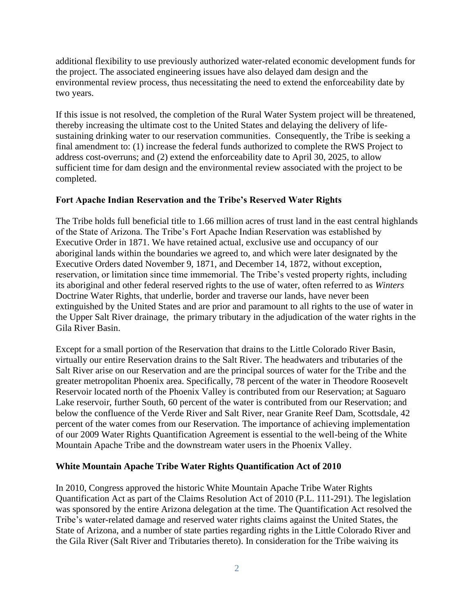additional flexibility to use previously authorized water-related economic development funds for the project. The associated engineering issues have also delayed dam design and the environmental review process, thus necessitating the need to extend the enforceability date by two years.

If this issue is not resolved, the completion of the Rural Water System project will be threatened, thereby increasing the ultimate cost to the United States and delaying the delivery of lifesustaining drinking water to our reservation communities. Consequently, the Tribe is seeking a final amendment to: (1) increase the federal funds authorized to complete the RWS Project to address cost-overruns; and (2) extend the enforceability date to April 30, 2025, to allow sufficient time for dam design and the environmental review associated with the project to be completed.

## **Fort Apache Indian Reservation and the Tribe's Reserved Water Rights**

The Tribe holds full beneficial title to 1.66 million acres of trust land in the east central highlands of the State of Arizona. The Tribe's Fort Apache Indian Reservation was established by Executive Order in 1871. We have retained actual, exclusive use and occupancy of our aboriginal lands within the boundaries we agreed to, and which were later designated by the Executive Orders dated November 9, 1871, and December 14, 1872, without exception, reservation, or limitation since time immemorial. The Tribe's vested property rights, including its aboriginal and other federal reserved rights to the use of water, often referred to as *Winters* Doctrine Water Rights, that underlie, border and traverse our lands, have never been extinguished by the United States and are prior and paramount to all rights to the use of water in the Upper Salt River drainage, the primary tributary in the adjudication of the water rights in the Gila River Basin.

Except for a small portion of the Reservation that drains to the Little Colorado River Basin, virtually our entire Reservation drains to the Salt River. The headwaters and tributaries of the Salt River arise on our Reservation and are the principal sources of water for the Tribe and the greater metropolitan Phoenix area. Specifically, 78 percent of the water in Theodore Roosevelt Reservoir located north of the Phoenix Valley is contributed from our Reservation; at Saguaro Lake reservoir, further South, 60 percent of the water is contributed from our Reservation; and below the confluence of the Verde River and Salt River, near Granite Reef Dam, Scottsdale, 42 percent of the water comes from our Reservation. The importance of achieving implementation of our 2009 Water Rights Quantification Agreement is essential to the well-being of the White Mountain Apache Tribe and the downstream water users in the Phoenix Valley.

## **White Mountain Apache Tribe Water Rights Quantification Act of 2010**

In 2010, Congress approved the historic White Mountain Apache Tribe Water Rights Quantification Act as part of the Claims Resolution Act of 2010 (P.L. 111-291). The legislation was sponsored by the entire Arizona delegation at the time. The Quantification Act resolved the Tribe's water-related damage and reserved water rights claims against the United States, the State of Arizona, and a number of state parties regarding rights in the Little Colorado River and the Gila River (Salt River and Tributaries thereto). In consideration for the Tribe waiving its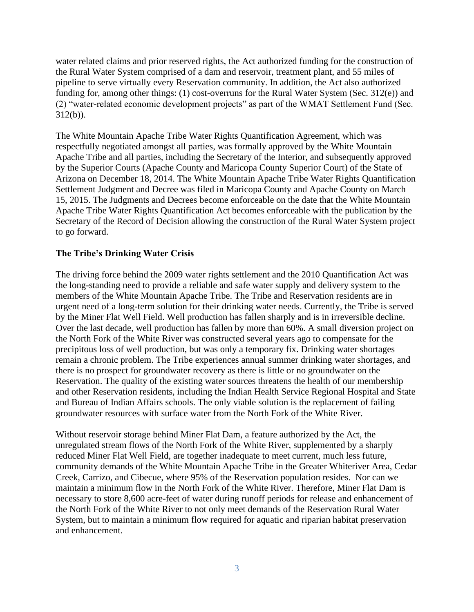water related claims and prior reserved rights, the Act authorized funding for the construction of the Rural Water System comprised of a dam and reservoir, treatment plant, and 55 miles of pipeline to serve virtually every Reservation community. In addition, the Act also authorized funding for, among other things: (1) cost-overruns for the Rural Water System (Sec. 312(e)) and (2) "water-related economic development projects" as part of the WMAT Settlement Fund (Sec. 312(b)).

The White Mountain Apache Tribe Water Rights Quantification Agreement, which was respectfully negotiated amongst all parties, was formally approved by the White Mountain Apache Tribe and all parties, including the Secretary of the Interior, and subsequently approved by the Superior Courts (Apache County and Maricopa County Superior Court) of the State of Arizona on December 18, 2014. The White Mountain Apache Tribe Water Rights Quantification Settlement Judgment and Decree was filed in Maricopa County and Apache County on March 15, 2015. The Judgments and Decrees become enforceable on the date that the White Mountain Apache Tribe Water Rights Quantification Act becomes enforceable with the publication by the Secretary of the Record of Decision allowing the construction of the Rural Water System project to go forward.

#### **The Tribe's Drinking Water Crisis**

The driving force behind the 2009 water rights settlement and the 2010 Quantification Act was the long-standing need to provide a reliable and safe water supply and delivery system to the members of the White Mountain Apache Tribe. The Tribe and Reservation residents are in urgent need of a long-term solution for their drinking water needs. Currently, the Tribe is served by the Miner Flat Well Field. Well production has fallen sharply and is in irreversible decline. Over the last decade, well production has fallen by more than 60%. A small diversion project on the North Fork of the White River was constructed several years ago to compensate for the precipitous loss of well production, but was only a temporary fix. Drinking water shortages remain a chronic problem. The Tribe experiences annual summer drinking water shortages, and there is no prospect for groundwater recovery as there is little or no groundwater on the Reservation. The quality of the existing water sources threatens the health of our membership and other Reservation residents, including the Indian Health Service Regional Hospital and State and Bureau of Indian Affairs schools. The only viable solution is the replacement of failing groundwater resources with surface water from the North Fork of the White River.

Without reservoir storage behind Miner Flat Dam, a feature authorized by the Act, the unregulated stream flows of the North Fork of the White River, supplemented by a sharply reduced Miner Flat Well Field, are together inadequate to meet current, much less future, community demands of the White Mountain Apache Tribe in the Greater Whiteriver Area, Cedar Creek, Carrizo, and Cibecue, where 95% of the Reservation population resides. Nor can we maintain a minimum flow in the North Fork of the White River. Therefore, Miner Flat Dam is necessary to store 8,600 acre-feet of water during runoff periods for release and enhancement of the North Fork of the White River to not only meet demands of the Reservation Rural Water System, but to maintain a minimum flow required for aquatic and riparian habitat preservation and enhancement.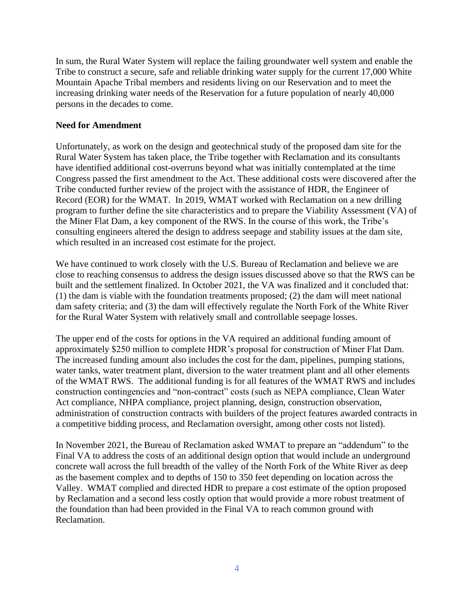In sum, the Rural Water System will replace the failing groundwater well system and enable the Tribe to construct a secure, safe and reliable drinking water supply for the current 17,000 White Mountain Apache Tribal members and residents living on our Reservation and to meet the increasing drinking water needs of the Reservation for a future population of nearly 40,000 persons in the decades to come.

## **Need for Amendment**

Unfortunately, as work on the design and geotechnical study of the proposed dam site for the Rural Water System has taken place, the Tribe together with Reclamation and its consultants have identified additional cost-overruns beyond what was initially contemplated at the time Congress passed the first amendment to the Act. These additional costs were discovered after the Tribe conducted further review of the project with the assistance of HDR, the Engineer of Record (EOR) for the WMAT. In 2019, WMAT worked with Reclamation on a new drilling program to further define the site characteristics and to prepare the Viability Assessment (VA) of the Miner Flat Dam, a key component of the RWS. In the course of this work, the Tribe's consulting engineers altered the design to address seepage and stability issues at the dam site, which resulted in an increased cost estimate for the project.

We have continued to work closely with the U.S. Bureau of Reclamation and believe we are close to reaching consensus to address the design issues discussed above so that the RWS can be built and the settlement finalized. In October 2021, the VA was finalized and it concluded that: (1) the dam is viable with the foundation treatments proposed; (2) the dam will meet national dam safety criteria; and (3) the dam will effectively regulate the North Fork of the White River for the Rural Water System with relatively small and controllable seepage losses.

The upper end of the costs for options in the VA required an additional funding amount of approximately \$250 million to complete HDR's proposal for construction of Miner Flat Dam. The increased funding amount also includes the cost for the dam, pipelines, pumping stations, water tanks, water treatment plant, diversion to the water treatment plant and all other elements of the WMAT RWS. The additional funding is for all features of the WMAT RWS and includes construction contingencies and "non-contract" costs (such as NEPA compliance, Clean Water Act compliance, NHPA compliance, project planning, design, construction observation, administration of construction contracts with builders of the project features awarded contracts in a competitive bidding process, and Reclamation oversight, among other costs not listed).

In November 2021, the Bureau of Reclamation asked WMAT to prepare an "addendum" to the Final VA to address the costs of an additional design option that would include an underground concrete wall across the full breadth of the valley of the North Fork of the White River as deep as the basement complex and to depths of 150 to 350 feet depending on location across the Valley. WMAT complied and directed HDR to prepare a cost estimate of the option proposed by Reclamation and a second less costly option that would provide a more robust treatment of the foundation than had been provided in the Final VA to reach common ground with Reclamation.